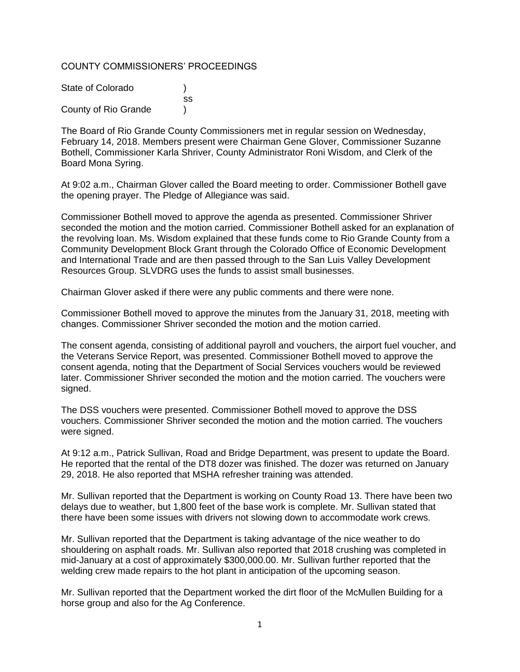### COUNTY COMMISSIONERS' PROCEEDINGS

| State of Colorado    |     |
|----------------------|-----|
|                      | SS. |
| County of Rio Grande |     |

The Board of Rio Grande County Commissioners met in regular session on Wednesday, February 14, 2018. Members present were Chairman Gene Glover, Commissioner Suzanne Bothell, Commissioner Karla Shriver, County Administrator Roni Wisdom, and Clerk of the Board Mona Syring.

At 9:02 a.m., Chairman Glover called the Board meeting to order. Commissioner Bothell gave the opening prayer. The Pledge of Allegiance was said.

Commissioner Bothell moved to approve the agenda as presented. Commissioner Shriver seconded the motion and the motion carried. Commissioner Bothell asked for an explanation of the revolving loan. Ms. Wisdom explained that these funds come to Rio Grande County from a Community Development Block Grant through the Colorado Office of Economic Development and International Trade and are then passed through to the San Luis Valley Development Resources Group. SLVDRG uses the funds to assist small businesses.

Chairman Glover asked if there were any public comments and there were none.

Commissioner Bothell moved to approve the minutes from the January 31, 2018, meeting with changes. Commissioner Shriver seconded the motion and the motion carried.

The consent agenda, consisting of additional payroll and vouchers, the airport fuel voucher, and the Veterans Service Report, was presented. Commissioner Bothell moved to approve the consent agenda, noting that the Department of Social Services vouchers would be reviewed later. Commissioner Shriver seconded the motion and the motion carried. The vouchers were signed.

The DSS vouchers were presented. Commissioner Bothell moved to approve the DSS vouchers. Commissioner Shriver seconded the motion and the motion carried. The vouchers were signed.

At 9:12 a.m., Patrick Sullivan, Road and Bridge Department, was present to update the Board. He reported that the rental of the DT8 dozer was finished. The dozer was returned on January 29, 2018. He also reported that MSHA refresher training was attended.

Mr. Sullivan reported that the Department is working on County Road 13. There have been two delays due to weather, but 1,800 feet of the base work is complete. Mr. Sullivan stated that there have been some issues with drivers not slowing down to accommodate work crews.

Mr. Sullivan reported that the Department is taking advantage of the nice weather to do shouldering on asphalt roads. Mr. Sullivan also reported that 2018 crushing was completed in mid-January at a cost of approximately \$300,000.00. Mr. Sullivan further reported that the welding crew made repairs to the hot plant in anticipation of the upcoming season.

Mr. Sullivan reported that the Department worked the dirt floor of the McMullen Building for a horse group and also for the Ag Conference.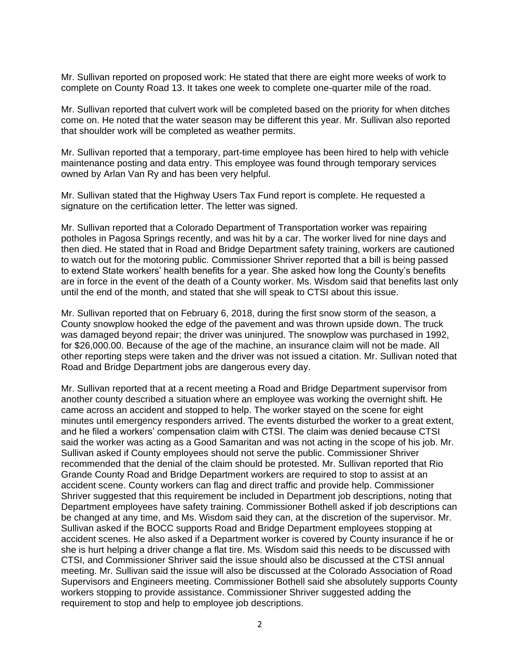Mr. Sullivan reported on proposed work: He stated that there are eight more weeks of work to complete on County Road 13. It takes one week to complete one-quarter mile of the road.

Mr. Sullivan reported that culvert work will be completed based on the priority for when ditches come on. He noted that the water season may be different this year. Mr. Sullivan also reported that shoulder work will be completed as weather permits.

Mr. Sullivan reported that a temporary, part-time employee has been hired to help with vehicle maintenance posting and data entry. This employee was found through temporary services owned by Arlan Van Ry and has been very helpful.

Mr. Sullivan stated that the Highway Users Tax Fund report is complete. He requested a signature on the certification letter. The letter was signed.

Mr. Sullivan reported that a Colorado Department of Transportation worker was repairing potholes in Pagosa Springs recently, and was hit by a car. The worker lived for nine days and then died. He stated that in Road and Bridge Department safety training, workers are cautioned to watch out for the motoring public. Commissioner Shriver reported that a bill is being passed to extend State workers' health benefits for a year. She asked how long the County's benefits are in force in the event of the death of a County worker. Ms. Wisdom said that benefits last only until the end of the month, and stated that she will speak to CTSI about this issue.

Mr. Sullivan reported that on February 6, 2018, during the first snow storm of the season, a County snowplow hooked the edge of the pavement and was thrown upside down. The truck was damaged beyond repair; the driver was uninjured. The snowplow was purchased in 1992, for \$26,000.00. Because of the age of the machine, an insurance claim will not be made. All other reporting steps were taken and the driver was not issued a citation. Mr. Sullivan noted that Road and Bridge Department jobs are dangerous every day.

Mr. Sullivan reported that at a recent meeting a Road and Bridge Department supervisor from another county described a situation where an employee was working the overnight shift. He came across an accident and stopped to help. The worker stayed on the scene for eight minutes until emergency responders arrived. The events disturbed the worker to a great extent, and he filed a workers' compensation claim with CTSI. The claim was denied because CTSI said the worker was acting as a Good Samaritan and was not acting in the scope of his job. Mr. Sullivan asked if County employees should not serve the public. Commissioner Shriver recommended that the denial of the claim should be protested. Mr. Sullivan reported that Rio Grande County Road and Bridge Department workers are required to stop to assist at an accident scene. County workers can flag and direct traffic and provide help. Commissioner Shriver suggested that this requirement be included in Department job descriptions, noting that Department employees have safety training. Commissioner Bothell asked if job descriptions can be changed at any time, and Ms. Wisdom said they can, at the discretion of the supervisor. Mr. Sullivan asked if the BOCC supports Road and Bridge Department employees stopping at accident scenes. He also asked if a Department worker is covered by County insurance if he or she is hurt helping a driver change a flat tire. Ms. Wisdom said this needs to be discussed with CTSI, and Commissioner Shriver said the issue should also be discussed at the CTSI annual meeting. Mr. Sullivan said the issue will also be discussed at the Colorado Association of Road Supervisors and Engineers meeting. Commissioner Bothell said she absolutely supports County workers stopping to provide assistance. Commissioner Shriver suggested adding the requirement to stop and help to employee job descriptions.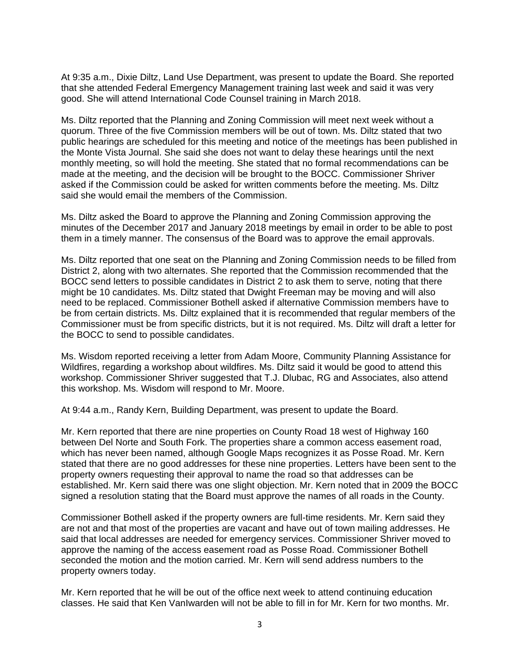At 9:35 a.m., Dixie Diltz, Land Use Department, was present to update the Board. She reported that she attended Federal Emergency Management training last week and said it was very good. She will attend International Code Counsel training in March 2018.

Ms. Diltz reported that the Planning and Zoning Commission will meet next week without a quorum. Three of the five Commission members will be out of town. Ms. Diltz stated that two public hearings are scheduled for this meeting and notice of the meetings has been published in the Monte Vista Journal. She said she does not want to delay these hearings until the next monthly meeting, so will hold the meeting. She stated that no formal recommendations can be made at the meeting, and the decision will be brought to the BOCC. Commissioner Shriver asked if the Commission could be asked for written comments before the meeting. Ms. Diltz said she would email the members of the Commission.

Ms. Diltz asked the Board to approve the Planning and Zoning Commission approving the minutes of the December 2017 and January 2018 meetings by email in order to be able to post them in a timely manner. The consensus of the Board was to approve the email approvals.

Ms. Diltz reported that one seat on the Planning and Zoning Commission needs to be filled from District 2, along with two alternates. She reported that the Commission recommended that the BOCC send letters to possible candidates in District 2 to ask them to serve, noting that there might be 10 candidates. Ms. Diltz stated that Dwight Freeman may be moving and will also need to be replaced. Commissioner Bothell asked if alternative Commission members have to be from certain districts. Ms. Diltz explained that it is recommended that regular members of the Commissioner must be from specific districts, but it is not required. Ms. Diltz will draft a letter for the BOCC to send to possible candidates.

Ms. Wisdom reported receiving a letter from Adam Moore, Community Planning Assistance for Wildfires, regarding a workshop about wildfires. Ms. Diltz said it would be good to attend this workshop. Commissioner Shriver suggested that T.J. Dlubac, RG and Associates, also attend this workshop. Ms. Wisdom will respond to Mr. Moore.

At 9:44 a.m., Randy Kern, Building Department, was present to update the Board.

Mr. Kern reported that there are nine properties on County Road 18 west of Highway 160 between Del Norte and South Fork. The properties share a common access easement road, which has never been named, although Google Maps recognizes it as Posse Road. Mr. Kern stated that there are no good addresses for these nine properties. Letters have been sent to the property owners requesting their approval to name the road so that addresses can be established. Mr. Kern said there was one slight objection. Mr. Kern noted that in 2009 the BOCC signed a resolution stating that the Board must approve the names of all roads in the County.

Commissioner Bothell asked if the property owners are full-time residents. Mr. Kern said they are not and that most of the properties are vacant and have out of town mailing addresses. He said that local addresses are needed for emergency services. Commissioner Shriver moved to approve the naming of the access easement road as Posse Road. Commissioner Bothell seconded the motion and the motion carried. Mr. Kern will send address numbers to the property owners today.

Mr. Kern reported that he will be out of the office next week to attend continuing education classes. He said that Ken VanIwarden will not be able to fill in for Mr. Kern for two months. Mr.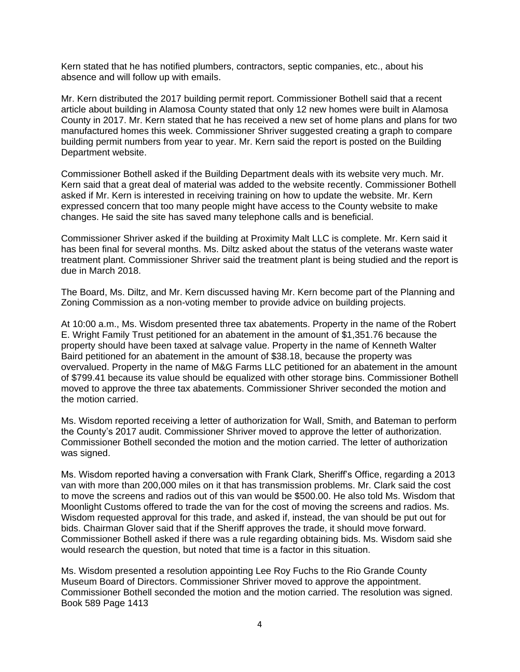Kern stated that he has notified plumbers, contractors, septic companies, etc., about his absence and will follow up with emails.

Mr. Kern distributed the 2017 building permit report. Commissioner Bothell said that a recent article about building in Alamosa County stated that only 12 new homes were built in Alamosa County in 2017. Mr. Kern stated that he has received a new set of home plans and plans for two manufactured homes this week. Commissioner Shriver suggested creating a graph to compare building permit numbers from year to year. Mr. Kern said the report is posted on the Building Department website.

Commissioner Bothell asked if the Building Department deals with its website very much. Mr. Kern said that a great deal of material was added to the website recently. Commissioner Bothell asked if Mr. Kern is interested in receiving training on how to update the website. Mr. Kern expressed concern that too many people might have access to the County website to make changes. He said the site has saved many telephone calls and is beneficial.

Commissioner Shriver asked if the building at Proximity Malt LLC is complete. Mr. Kern said it has been final for several months. Ms. Diltz asked about the status of the veterans waste water treatment plant. Commissioner Shriver said the treatment plant is being studied and the report is due in March 2018.

The Board, Ms. Diltz, and Mr. Kern discussed having Mr. Kern become part of the Planning and Zoning Commission as a non-voting member to provide advice on building projects.

At 10:00 a.m., Ms. Wisdom presented three tax abatements. Property in the name of the Robert E. Wright Family Trust petitioned for an abatement in the amount of \$1,351.76 because the property should have been taxed at salvage value. Property in the name of Kenneth Walter Baird petitioned for an abatement in the amount of \$38.18, because the property was overvalued. Property in the name of M&G Farms LLC petitioned for an abatement in the amount of \$799.41 because its value should be equalized with other storage bins. Commissioner Bothell moved to approve the three tax abatements. Commissioner Shriver seconded the motion and the motion carried.

Ms. Wisdom reported receiving a letter of authorization for Wall, Smith, and Bateman to perform the County's 2017 audit. Commissioner Shriver moved to approve the letter of authorization. Commissioner Bothell seconded the motion and the motion carried. The letter of authorization was signed.

Ms. Wisdom reported having a conversation with Frank Clark, Sheriff's Office, regarding a 2013 van with more than 200,000 miles on it that has transmission problems. Mr. Clark said the cost to move the screens and radios out of this van would be \$500.00. He also told Ms. Wisdom that Moonlight Customs offered to trade the van for the cost of moving the screens and radios. Ms. Wisdom requested approval for this trade, and asked if, instead, the van should be put out for bids. Chairman Glover said that if the Sheriff approves the trade, it should move forward. Commissioner Bothell asked if there was a rule regarding obtaining bids. Ms. Wisdom said she would research the question, but noted that time is a factor in this situation.

Ms. Wisdom presented a resolution appointing Lee Roy Fuchs to the Rio Grande County Museum Board of Directors. Commissioner Shriver moved to approve the appointment. Commissioner Bothell seconded the motion and the motion carried. The resolution was signed. Book 589 Page 1413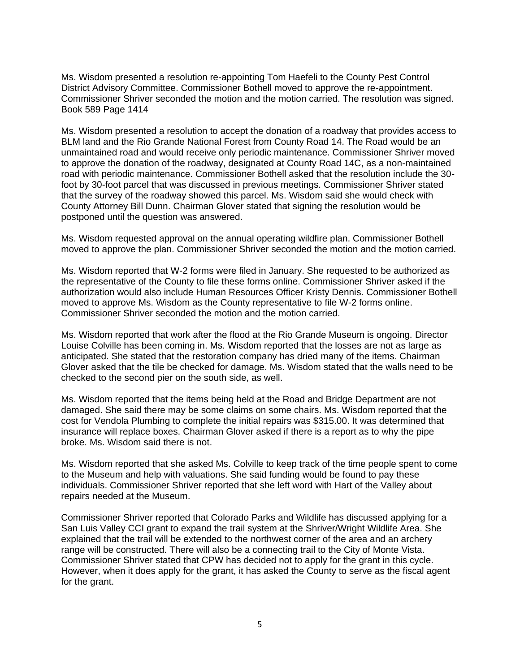Ms. Wisdom presented a resolution re-appointing Tom Haefeli to the County Pest Control District Advisory Committee. Commissioner Bothell moved to approve the re-appointment. Commissioner Shriver seconded the motion and the motion carried. The resolution was signed. Book 589 Page 1414

Ms. Wisdom presented a resolution to accept the donation of a roadway that provides access to BLM land and the Rio Grande National Forest from County Road 14. The Road would be an unmaintained road and would receive only periodic maintenance. Commissioner Shriver moved to approve the donation of the roadway, designated at County Road 14C, as a non-maintained road with periodic maintenance. Commissioner Bothell asked that the resolution include the 30 foot by 30-foot parcel that was discussed in previous meetings. Commissioner Shriver stated that the survey of the roadway showed this parcel. Ms. Wisdom said she would check with County Attorney Bill Dunn. Chairman Glover stated that signing the resolution would be postponed until the question was answered.

Ms. Wisdom requested approval on the annual operating wildfire plan. Commissioner Bothell moved to approve the plan. Commissioner Shriver seconded the motion and the motion carried.

Ms. Wisdom reported that W-2 forms were filed in January. She requested to be authorized as the representative of the County to file these forms online. Commissioner Shriver asked if the authorization would also include Human Resources Officer Kristy Dennis. Commissioner Bothell moved to approve Ms. Wisdom as the County representative to file W-2 forms online. Commissioner Shriver seconded the motion and the motion carried.

Ms. Wisdom reported that work after the flood at the Rio Grande Museum is ongoing. Director Louise Colville has been coming in. Ms. Wisdom reported that the losses are not as large as anticipated. She stated that the restoration company has dried many of the items. Chairman Glover asked that the tile be checked for damage. Ms. Wisdom stated that the walls need to be checked to the second pier on the south side, as well.

Ms. Wisdom reported that the items being held at the Road and Bridge Department are not damaged. She said there may be some claims on some chairs. Ms. Wisdom reported that the cost for Vendola Plumbing to complete the initial repairs was \$315.00. It was determined that insurance will replace boxes. Chairman Glover asked if there is a report as to why the pipe broke. Ms. Wisdom said there is not.

Ms. Wisdom reported that she asked Ms. Colville to keep track of the time people spent to come to the Museum and help with valuations. She said funding would be found to pay these individuals. Commissioner Shriver reported that she left word with Hart of the Valley about repairs needed at the Museum.

Commissioner Shriver reported that Colorado Parks and Wildlife has discussed applying for a San Luis Valley CCI grant to expand the trail system at the Shriver/Wright Wildlife Area. She explained that the trail will be extended to the northwest corner of the area and an archery range will be constructed. There will also be a connecting trail to the City of Monte Vista. Commissioner Shriver stated that CPW has decided not to apply for the grant in this cycle. However, when it does apply for the grant, it has asked the County to serve as the fiscal agent for the grant.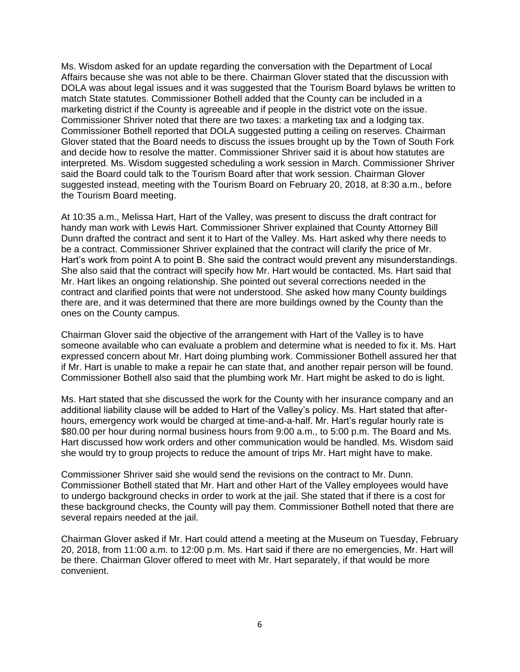Ms. Wisdom asked for an update regarding the conversation with the Department of Local Affairs because she was not able to be there. Chairman Glover stated that the discussion with DOLA was about legal issues and it was suggested that the Tourism Board bylaws be written to match State statutes. Commissioner Bothell added that the County can be included in a marketing district if the County is agreeable and if people in the district vote on the issue. Commissioner Shriver noted that there are two taxes: a marketing tax and a lodging tax. Commissioner Bothell reported that DOLA suggested putting a ceiling on reserves. Chairman Glover stated that the Board needs to discuss the issues brought up by the Town of South Fork and decide how to resolve the matter. Commissioner Shriver said it is about how statutes are interpreted. Ms. Wisdom suggested scheduling a work session in March. Commissioner Shriver said the Board could talk to the Tourism Board after that work session. Chairman Glover suggested instead, meeting with the Tourism Board on February 20, 2018, at 8:30 a.m., before the Tourism Board meeting.

At 10:35 a.m., Melissa Hart, Hart of the Valley, was present to discuss the draft contract for handy man work with Lewis Hart. Commissioner Shriver explained that County Attorney Bill Dunn drafted the contract and sent it to Hart of the Valley. Ms. Hart asked why there needs to be a contract. Commissioner Shriver explained that the contract will clarify the price of Mr. Hart's work from point A to point B. She said the contract would prevent any misunderstandings. She also said that the contract will specify how Mr. Hart would be contacted. Ms. Hart said that Mr. Hart likes an ongoing relationship. She pointed out several corrections needed in the contract and clarified points that were not understood. She asked how many County buildings there are, and it was determined that there are more buildings owned by the County than the ones on the County campus.

Chairman Glover said the objective of the arrangement with Hart of the Valley is to have someone available who can evaluate a problem and determine what is needed to fix it. Ms. Hart expressed concern about Mr. Hart doing plumbing work. Commissioner Bothell assured her that if Mr. Hart is unable to make a repair he can state that, and another repair person will be found. Commissioner Bothell also said that the plumbing work Mr. Hart might be asked to do is light.

Ms. Hart stated that she discussed the work for the County with her insurance company and an additional liability clause will be added to Hart of the Valley's policy. Ms. Hart stated that afterhours, emergency work would be charged at time-and-a-half. Mr. Hart's regular hourly rate is \$80.00 per hour during normal business hours from 9:00 a.m., to 5:00 p.m. The Board and Ms. Hart discussed how work orders and other communication would be handled. Ms. Wisdom said she would try to group projects to reduce the amount of trips Mr. Hart might have to make.

Commissioner Shriver said she would send the revisions on the contract to Mr. Dunn. Commissioner Bothell stated that Mr. Hart and other Hart of the Valley employees would have to undergo background checks in order to work at the jail. She stated that if there is a cost for these background checks, the County will pay them. Commissioner Bothell noted that there are several repairs needed at the jail.

Chairman Glover asked if Mr. Hart could attend a meeting at the Museum on Tuesday, February 20, 2018, from 11:00 a.m. to 12:00 p.m. Ms. Hart said if there are no emergencies, Mr. Hart will be there. Chairman Glover offered to meet with Mr. Hart separately, if that would be more convenient.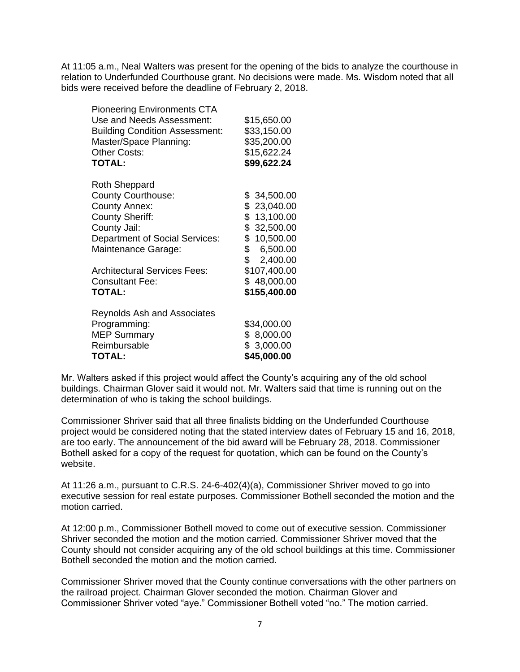At 11:05 a.m., Neal Walters was present for the opening of the bids to analyze the courthouse in relation to Underfunded Courthouse grant. No decisions were made. Ms. Wisdom noted that all bids were received before the deadline of February 2, 2018.

| <b>Pioneering Environments CTA</b>    |                |
|---------------------------------------|----------------|
| Use and Needs Assessment:             | \$15,650.00    |
| <b>Building Condition Assessment:</b> | \$33,150.00    |
| Master/Space Planning:                | \$35,200.00    |
| <b>Other Costs:</b>                   | \$15,622.24    |
| <b>TOTAL:</b>                         | \$99,622.24    |
| Roth Sheppard                         |                |
| <b>County Courthouse:</b>             | \$34,500.00    |
| County Annex:                         | \$23,040.00    |
| <b>County Sheriff:</b>                | \$13,100.00    |
| County Jail:                          | \$32,500.00    |
| Department of Social Services:        | \$10,500.00    |
| Maintenance Garage:                   | \$<br>6,500.00 |
|                                       | \$2,400.00     |
| <b>Architectural Services Fees:</b>   | \$107,400.00   |
| <b>Consultant Fee:</b>                | \$48,000.00    |
| <b>TOTAL:</b>                         | \$155,400.00   |
| <b>Reynolds Ash and Associates</b>    |                |
| Programming:                          | \$34,000.00    |
| <b>MEP Summary</b>                    | \$8,000.00     |
| Reimbursable                          | \$3,000.00     |

**TOTAL: \$45,000.00**

Mr. Walters asked if this project would affect the County's acquiring any of the old school buildings. Chairman Glover said it would not. Mr. Walters said that time is running out on the determination of who is taking the school buildings.

Commissioner Shriver said that all three finalists bidding on the Underfunded Courthouse project would be considered noting that the stated interview dates of February 15 and 16, 2018, are too early. The announcement of the bid award will be February 28, 2018. Commissioner Bothell asked for a copy of the request for quotation, which can be found on the County's website.

At 11:26 a.m., pursuant to C.R.S. 24-6-402(4)(a), Commissioner Shriver moved to go into executive session for real estate purposes. Commissioner Bothell seconded the motion and the motion carried.

At 12:00 p.m., Commissioner Bothell moved to come out of executive session. Commissioner Shriver seconded the motion and the motion carried. Commissioner Shriver moved that the County should not consider acquiring any of the old school buildings at this time. Commissioner Bothell seconded the motion and the motion carried.

Commissioner Shriver moved that the County continue conversations with the other partners on the railroad project. Chairman Glover seconded the motion. Chairman Glover and Commissioner Shriver voted "aye." Commissioner Bothell voted "no." The motion carried.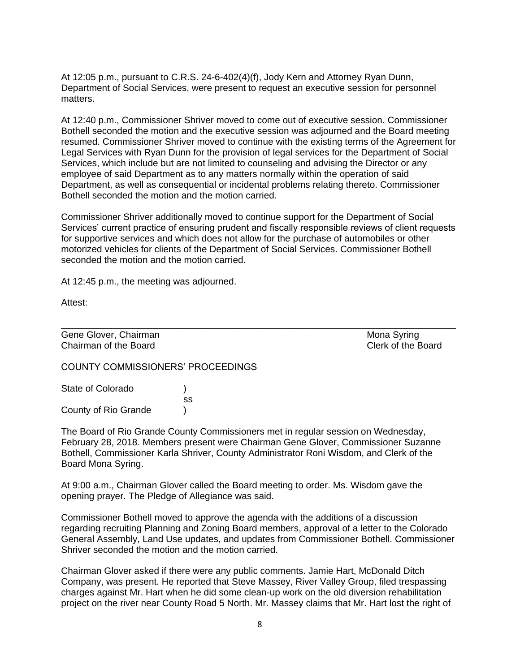At 12:05 p.m., pursuant to C.R.S. 24-6-402(4)(f), Jody Kern and Attorney Ryan Dunn, Department of Social Services, were present to request an executive session for personnel matters.

At 12:40 p.m., Commissioner Shriver moved to come out of executive session. Commissioner Bothell seconded the motion and the executive session was adjourned and the Board meeting resumed. Commissioner Shriver moved to continue with the existing terms of the Agreement for Legal Services with Ryan Dunn for the provision of legal services for the Department of Social Services, which include but are not limited to counseling and advising the Director or any employee of said Department as to any matters normally within the operation of said Department, as well as consequential or incidental problems relating thereto. Commissioner Bothell seconded the motion and the motion carried.

Commissioner Shriver additionally moved to continue support for the Department of Social Services' current practice of ensuring prudent and fiscally responsible reviews of client requests for supportive services and which does not allow for the purchase of automobiles or other motorized vehicles for clients of the Department of Social Services. Commissioner Bothell seconded the motion and the motion carried.

\_\_\_\_\_\_\_\_\_\_\_\_\_\_\_\_\_\_\_\_\_\_\_\_\_\_\_\_\_\_\_\_\_\_\_\_\_\_\_\_\_\_\_\_\_\_\_\_\_\_\_\_\_\_\_\_\_\_\_\_\_\_\_\_\_\_\_\_\_\_\_\_\_\_\_\_

At 12:45 p.m., the meeting was adjourned.

Attest:

Gene Glover, Chairman Mona Syring and Chairman Mona Syring and Mona Syring Chairman of the Board Clerk of the Board

COUNTY COMMISSIONERS' PROCEEDINGS

State of Colorado (a) ss County of Rio Grande )

The Board of Rio Grande County Commissioners met in regular session on Wednesday, February 28, 2018. Members present were Chairman Gene Glover, Commissioner Suzanne Bothell, Commissioner Karla Shriver, County Administrator Roni Wisdom, and Clerk of the Board Mona Syring.

At 9:00 a.m., Chairman Glover called the Board meeting to order. Ms. Wisdom gave the opening prayer. The Pledge of Allegiance was said.

Commissioner Bothell moved to approve the agenda with the additions of a discussion regarding recruiting Planning and Zoning Board members, approval of a letter to the Colorado General Assembly, Land Use updates, and updates from Commissioner Bothell. Commissioner Shriver seconded the motion and the motion carried.

Chairman Glover asked if there were any public comments. Jamie Hart, McDonald Ditch Company, was present. He reported that Steve Massey, River Valley Group, filed trespassing charges against Mr. Hart when he did some clean-up work on the old diversion rehabilitation project on the river near County Road 5 North. Mr. Massey claims that Mr. Hart lost the right of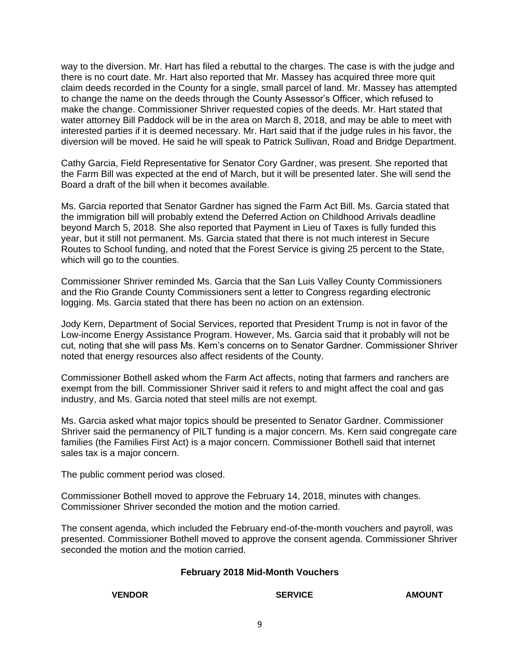way to the diversion. Mr. Hart has filed a rebuttal to the charges. The case is with the judge and there is no court date. Mr. Hart also reported that Mr. Massey has acquired three more quit claim deeds recorded in the County for a single, small parcel of land. Mr. Massey has attempted to change the name on the deeds through the County Assessor's Officer, which refused to make the change. Commissioner Shriver requested copies of the deeds. Mr. Hart stated that water attorney Bill Paddock will be in the area on March 8, 2018, and may be able to meet with interested parties if it is deemed necessary. Mr. Hart said that if the judge rules in his favor, the diversion will be moved. He said he will speak to Patrick Sullivan, Road and Bridge Department.

Cathy Garcia, Field Representative for Senator Cory Gardner, was present. She reported that the Farm Bill was expected at the end of March, but it will be presented later. She will send the Board a draft of the bill when it becomes available.

Ms. Garcia reported that Senator Gardner has signed the Farm Act Bill. Ms. Garcia stated that the immigration bill will probably extend the Deferred Action on Childhood Arrivals deadline beyond March 5, 2018. She also reported that Payment in Lieu of Taxes is fully funded this year, but it still not permanent. Ms. Garcia stated that there is not much interest in Secure Routes to School funding, and noted that the Forest Service is giving 25 percent to the State, which will go to the counties.

Commissioner Shriver reminded Ms. Garcia that the San Luis Valley County Commissioners and the Rio Grande County Commissioners sent a letter to Congress regarding electronic logging. Ms. Garcia stated that there has been no action on an extension.

Jody Kern, Department of Social Services, reported that President Trump is not in favor of the Low-income Energy Assistance Program. However, Ms. Garcia said that it probably will not be cut, noting that she will pass Ms. Kern's concerns on to Senator Gardner. Commissioner Shriver noted that energy resources also affect residents of the County.

Commissioner Bothell asked whom the Farm Act affects, noting that farmers and ranchers are exempt from the bill. Commissioner Shriver said it refers to and might affect the coal and gas industry, and Ms. Garcia noted that steel mills are not exempt.

Ms. Garcia asked what major topics should be presented to Senator Gardner. Commissioner Shriver said the permanency of PILT funding is a major concern. Ms. Kern said congregate care families (the Families First Act) is a major concern. Commissioner Bothell said that internet sales tax is a major concern.

The public comment period was closed.

Commissioner Bothell moved to approve the February 14, 2018, minutes with changes. Commissioner Shriver seconded the motion and the motion carried.

The consent agenda, which included the February end-of-the-month vouchers and payroll, was presented. Commissioner Bothell moved to approve the consent agenda. Commissioner Shriver seconded the motion and the motion carried.

#### **February 2018 Mid-Month Vouchers**

#### **VENDOR SERVICE AMOUNT**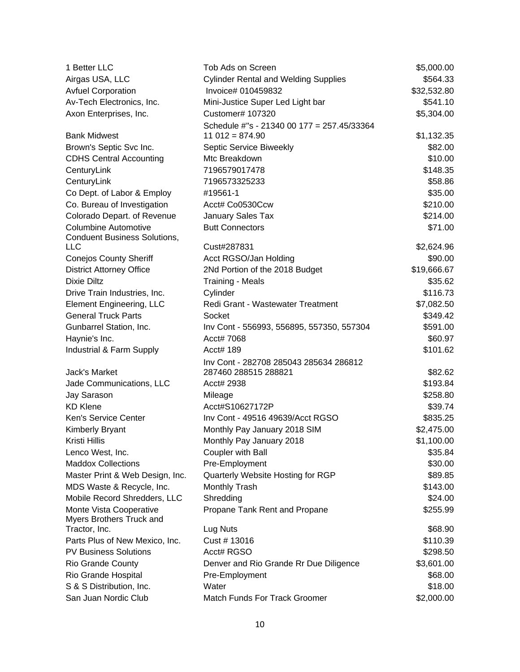| 1 Better LLC                                                       | Tob Ads on Screen                           | \$5,000.00  |
|--------------------------------------------------------------------|---------------------------------------------|-------------|
| Airgas USA, LLC                                                    | <b>Cylinder Rental and Welding Supplies</b> | \$564.33    |
| <b>Avfuel Corporation</b>                                          | Invoice# 010459832                          | \$32,532.80 |
| Av-Tech Electronics, Inc.                                          | Mini-Justice Super Led Light bar            | \$541.10    |
| Axon Enterprises, Inc.                                             | Customer# 107320                            | \$5,304.00  |
|                                                                    | Schedule #"s - 21340 00 177 = 257.45/33364  |             |
| <b>Bank Midwest</b>                                                | $11012 = 874.90$                            | \$1,132.35  |
| Brown's Septic Svc Inc.                                            | Septic Service Biweekly                     | \$82.00     |
| <b>CDHS Central Accounting</b>                                     | Mtc Breakdown                               | \$10.00     |
| CenturyLink                                                        | 7196579017478                               | \$148.35    |
| CenturyLink                                                        | 7196573325233                               | \$58.86     |
| Co Dept. of Labor & Employ                                         | #19561-1                                    | \$35.00     |
| Co. Bureau of Investigation                                        | Acct# Co0530Ccw                             | \$210.00    |
| Colorado Depart. of Revenue                                        | January Sales Tax                           | \$214.00    |
| <b>Columbine Automotive</b><br><b>Conduent Business Solutions,</b> | <b>Butt Connectors</b>                      | \$71.00     |
| <b>LLC</b>                                                         | Cust#287831                                 | \$2,624.96  |
| <b>Conejos County Sheriff</b>                                      | Acct RGSO/Jan Holding                       | \$90.00     |
| <b>District Attorney Office</b>                                    | 2Nd Portion of the 2018 Budget              | \$19,666.67 |
| Dixie Diltz                                                        | <b>Training - Meals</b>                     | \$35.62     |
| Drive Train Industries, Inc.                                       | Cylinder                                    | \$116.73    |
| <b>Element Engineering, LLC</b>                                    | Redi Grant - Wastewater Treatment           | \$7,082.50  |
| <b>General Truck Parts</b>                                         | Socket                                      | \$349.42    |
| Gunbarrel Station, Inc.                                            | Inv Cont - 556993, 556895, 557350, 557304   | \$591.00    |
| Haynie's Inc.                                                      | Acct# 7068                                  | \$60.97     |
| Industrial & Farm Supply                                           | Acct# 189                                   | \$101.62    |
|                                                                    | Inv Cont - 282708 285043 285634 286812      |             |
| Jack's Market                                                      | 287460 288515 288821                        | \$82.62     |
| Jade Communications, LLC                                           | Acct# 2938                                  | \$193.84    |
| Jay Sarason                                                        | Mileage                                     | \$258.80    |
| <b>KD Klene</b>                                                    | Acct#S10627172P                             | \$39.74     |
| Ken's Service Center                                               | Inv Cont - 49516 49639/Acct RGSO            | \$835.25    |
| Kimberly Bryant                                                    | Monthly Pay January 2018 SIM                | \$2,475.00  |
| Kristi Hillis                                                      | Monthly Pay January 2018                    | \$1,100.00  |
| Lenco West, Inc.                                                   | Coupler with Ball                           | \$35.84     |
| <b>Maddox Collections</b>                                          | Pre-Employment                              | \$30.00     |
| Master Print & Web Design, Inc.                                    | Quarterly Website Hosting for RGP           | \$89.85     |
| MDS Waste & Recycle, Inc.                                          | Monthly Trash                               | \$143.00    |
| Mobile Record Shredders, LLC                                       | Shredding                                   | \$24.00     |
| Monte Vista Cooperative                                            | Propane Tank Rent and Propane               | \$255.99    |
| Myers Brothers Truck and                                           |                                             |             |
| Tractor, Inc.                                                      | Lug Nuts                                    | \$68.90     |
| Parts Plus of New Mexico, Inc.                                     | Cust # 13016                                | \$110.39    |
| <b>PV Business Solutions</b>                                       | Acct# RGSO                                  | \$298.50    |
| <b>Rio Grande County</b>                                           | Denver and Rio Grande Rr Due Diligence      | \$3,601.00  |
| Rio Grande Hospital                                                | Pre-Employment                              | \$68.00     |
| S & S Distribution, Inc.                                           | Water                                       | \$18.00     |
| San Juan Nordic Club                                               | Match Funds For Track Groomer               | \$2,000.00  |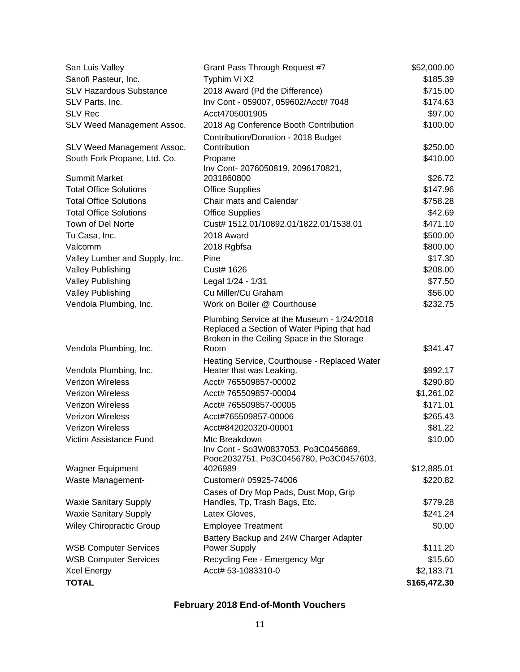| San Luis Valley                 | Grant Pass Through Request #7                                                                                                                   | \$52,000.00  |
|---------------------------------|-------------------------------------------------------------------------------------------------------------------------------------------------|--------------|
| Sanofi Pasteur, Inc.            | Typhim Vi X2                                                                                                                                    | \$185.39     |
| <b>SLV Hazardous Substance</b>  | 2018 Award (Pd the Difference)                                                                                                                  | \$715.00     |
| SLV Parts, Inc.                 | Inv Cont - 059007, 059602/Acct# 7048                                                                                                            | \$174.63     |
| <b>SLV Rec</b>                  | Acct4705001905                                                                                                                                  | \$97.00      |
| SLV Weed Management Assoc.      | 2018 Ag Conference Booth Contribution                                                                                                           | \$100.00     |
|                                 | Contribution/Donation - 2018 Budget                                                                                                             |              |
| SLV Weed Management Assoc.      | Contribution                                                                                                                                    | \$250.00     |
| South Fork Propane, Ltd. Co.    | Propane                                                                                                                                         | \$410.00     |
|                                 | Inv Cont- 2076050819, 2096170821,                                                                                                               |              |
| <b>Summit Market</b>            | 2031860800                                                                                                                                      | \$26.72      |
| <b>Total Office Solutions</b>   | <b>Office Supplies</b>                                                                                                                          | \$147.96     |
| <b>Total Office Solutions</b>   | Chair mats and Calendar                                                                                                                         | \$758.28     |
| <b>Total Office Solutions</b>   | <b>Office Supplies</b>                                                                                                                          | \$42.69      |
| Town of Del Norte               | Cust# 1512.01/10892.01/1822.01/1538.01                                                                                                          | \$471.10     |
| Tu Casa, Inc.                   | 2018 Award                                                                                                                                      | \$500.00     |
| Valcomm                         | 2018 Rgbfsa                                                                                                                                     | \$800.00     |
| Valley Lumber and Supply, Inc.  | Pine                                                                                                                                            | \$17.30      |
| <b>Valley Publishing</b>        | Cust# 1626                                                                                                                                      | \$208.00     |
| <b>Valley Publishing</b>        | Legal 1/24 - 1/31                                                                                                                               | \$77.50      |
| <b>Valley Publishing</b>        | Cu Miller/Cu Graham                                                                                                                             | \$56.00      |
| Vendola Plumbing, Inc.          | Work on Boiler @ Courthouse                                                                                                                     | \$232.75     |
| Vendola Plumbing, Inc.          | Plumbing Service at the Museum - 1/24/2018<br>Replaced a Section of Water Piping that had<br>Broken in the Ceiling Space in the Storage<br>Room | \$341.47     |
|                                 |                                                                                                                                                 |              |
| Vendola Plumbing, Inc.          | Heating Service, Courthouse - Replaced Water<br>Heater that was Leaking.                                                                        | \$992.17     |
| <b>Verizon Wireless</b>         | Acct# 765509857-00002                                                                                                                           | \$290.80     |
| <b>Verizon Wireless</b>         | Acct# 765509857-00004                                                                                                                           | \$1,261.02   |
| <b>Verizon Wireless</b>         | Acct# 765509857-00005                                                                                                                           | \$171.01     |
| <b>Verizon Wireless</b>         | Acct#765509857-00006                                                                                                                            | \$265.43     |
| <b>Verizon Wireless</b>         | Acct#842020320-00001                                                                                                                            | \$81.22      |
| Victim Assistance Fund          | Mtc Breakdown                                                                                                                                   | \$10.00      |
|                                 | Inv Cont - So3W0837053, Po3C0456869,<br>Pooc2032751, Po3C0456780, Po3C0457603,                                                                  |              |
| <b>Wagner Equipment</b>         | 4026989                                                                                                                                         | \$12,885.01  |
| Waste Management-               | Customer# 05925-74006                                                                                                                           | \$220.82     |
|                                 | Cases of Dry Mop Pads, Dust Mop, Grip                                                                                                           |              |
| <b>Waxie Sanitary Supply</b>    | Handles, Tp, Trash Bags, Etc.                                                                                                                   | \$779.28     |
| <b>Waxie Sanitary Supply</b>    | Latex Gloves,                                                                                                                                   | \$241.24     |
| <b>Wiley Chiropractic Group</b> | <b>Employee Treatment</b>                                                                                                                       | \$0.00       |
|                                 | Battery Backup and 24W Charger Adapter                                                                                                          |              |
| <b>WSB Computer Services</b>    | Power Supply                                                                                                                                    | \$111.20     |
| <b>WSB Computer Services</b>    | Recycling Fee - Emergency Mgr                                                                                                                   | \$15.60      |
| <b>Xcel Energy</b>              | Acct# 53-1083310-0                                                                                                                              | \$2,183.71   |
| <b>TOTAL</b>                    |                                                                                                                                                 | \$165,472.30 |

# **February 2018 End-of-Month Vouchers**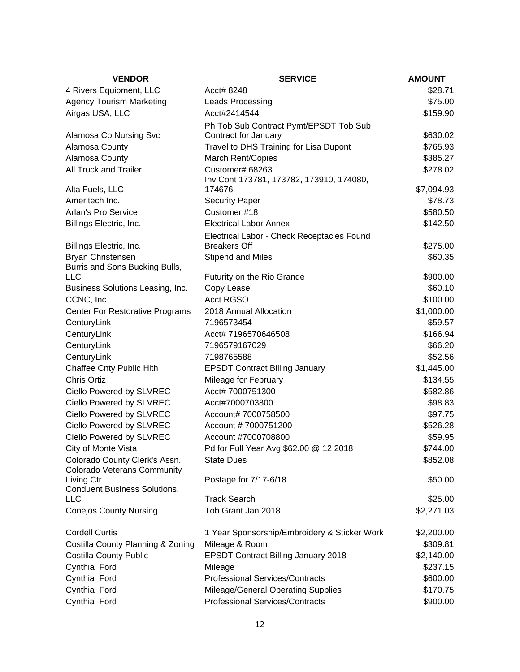| <b>VENDOR</b>                                       | <b>SERVICE</b>                                              | <b>AMOUNT</b>        |
|-----------------------------------------------------|-------------------------------------------------------------|----------------------|
| 4 Rivers Equipment, LLC                             | Acct# 8248                                                  | \$28.71              |
| <b>Agency Tourism Marketing</b>                     | <b>Leads Processing</b>                                     | \$75.00              |
| Airgas USA, LLC                                     | Acct#2414544                                                | \$159.90             |
|                                                     | Ph Tob Sub Contract Pymt/EPSDT Tob Sub                      |                      |
| Alamosa Co Nursing Svc                              | Contract for January                                        | \$630.02             |
| Alamosa County                                      | Travel to DHS Training for Lisa Dupont                      | \$765.93             |
| Alamosa County                                      | <b>March Rent/Copies</b>                                    | \$385.27             |
| All Truck and Trailer                               | Customer# 68263<br>Inv Cont 173781, 173782, 173910, 174080, | \$278.02             |
| Alta Fuels, LLC                                     | 174676                                                      | \$7,094.93           |
| Ameritech Inc.                                      | <b>Security Paper</b>                                       | \$78.73              |
| Arlan's Pro Service                                 | Customer #18                                                | \$580.50             |
| Billings Electric, Inc.                             | <b>Electrical Labor Annex</b>                               | \$142.50             |
|                                                     | Electrical Labor - Check Receptacles Found                  |                      |
| Billings Electric, Inc.                             | <b>Breakers Off</b>                                         | \$275.00             |
| Bryan Christensen<br>Burris and Sons Bucking Bulls, | Stipend and Miles                                           | \$60.35              |
| <b>LLC</b>                                          | Futurity on the Rio Grande                                  | \$900.00             |
| Business Solutions Leasing, Inc.                    | Copy Lease                                                  | \$60.10              |
| CCNC, Inc.                                          | <b>Acct RGSO</b>                                            | \$100.00             |
| <b>Center For Restorative Programs</b>              | 2018 Annual Allocation                                      | \$1,000.00           |
| CenturyLink                                         | 7196573454                                                  | \$59.57              |
| CenturyLink                                         | Acct# 7196570646508                                         | \$166.94             |
| CenturyLink                                         | 7196579167029                                               | \$66.20              |
| CenturyLink                                         | 7198765588                                                  | \$52.56              |
| Chaffee Cnty Public Hlth<br>Chris Ortiz             | <b>EPSDT Contract Billing January</b>                       | \$1,445.00           |
| Ciello Powered by SLVREC                            | Mileage for February<br>Acct# 7000751300                    | \$134.55<br>\$582.86 |
| Ciello Powered by SLVREC                            | Acct#7000703800                                             | \$98.83              |
| Ciello Powered by SLVREC                            | Account# 7000758500                                         | \$97.75              |
| Ciello Powered by SLVREC                            | Account #7000751200                                         | \$526.28             |
| Ciello Powered by SLVREC                            | Account #7000708800                                         | \$59.95              |
| City of Monte Vista                                 | Pd for Full Year Avg \$62.00 @ 12 2018                      | \$744.00             |
| Colorado County Clerk's Assn.                       | <b>State Dues</b>                                           | \$852.08             |
| <b>Colorado Veterans Community</b>                  |                                                             |                      |
| Living Ctr                                          | Postage for 7/17-6/18                                       | \$50.00              |
| <b>Conduent Business Solutions,</b>                 |                                                             |                      |
| <b>LLC</b>                                          | <b>Track Search</b>                                         | \$25.00              |
| <b>Conejos County Nursing</b>                       | Tob Grant Jan 2018                                          | \$2,271.03           |
| <b>Cordell Curtis</b>                               | 1 Year Sponsorship/Embroidery & Sticker Work                | \$2,200.00           |
| Costilla County Planning & Zoning                   | Mileage & Room                                              | \$309.81             |
| <b>Costilla County Public</b>                       | <b>EPSDT Contract Billing January 2018</b>                  | \$2,140.00           |
| Cynthia Ford                                        | Mileage                                                     | \$237.15             |
| Cynthia Ford                                        | <b>Professional Services/Contracts</b>                      | \$600.00             |
| Cynthia Ford                                        | <b>Mileage/General Operating Supplies</b>                   | \$170.75             |
| Cynthia Ford                                        | <b>Professional Services/Contracts</b>                      | \$900.00             |
|                                                     |                                                             |                      |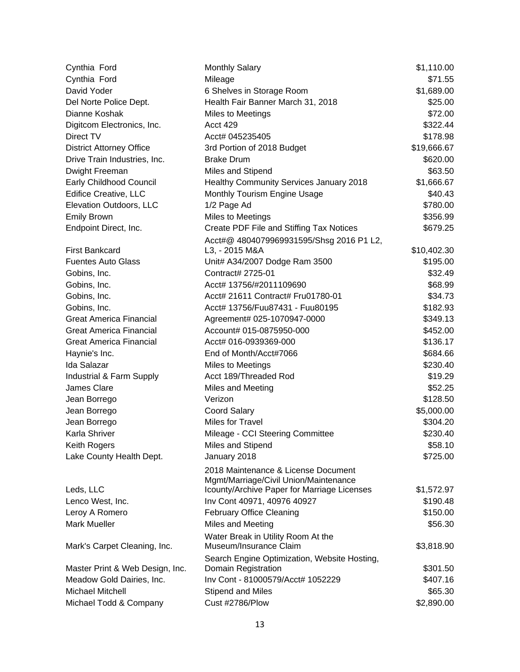| Cynthia Ford                    | <b>Monthly Salary</b>                        | \$1,110.00  |
|---------------------------------|----------------------------------------------|-------------|
| Cynthia Ford                    | Mileage                                      | \$71.55     |
| David Yoder                     | 6 Shelves in Storage Room                    | \$1,689.00  |
| Del Norte Police Dept.          | Health Fair Banner March 31, 2018            | \$25.00     |
| Dianne Koshak                   | Miles to Meetings                            | \$72.00     |
| Digitcom Electronics, Inc.      | Acct 429                                     | \$322.44    |
| Direct TV                       | Acct# 045235405                              | \$178.98    |
| <b>District Attorney Office</b> | 3rd Portion of 2018 Budget                   | \$19,666.67 |
| Drive Train Industries, Inc.    | <b>Brake Drum</b>                            | \$620.00    |
| Dwight Freeman                  | Miles and Stipend                            | \$63.50     |
| Early Childhood Council         | Healthy Community Services January 2018      | \$1,666.67  |
| Edifice Creative, LLC           | Monthly Tourism Engine Usage                 | \$40.43     |
| Elevation Outdoors, LLC         | 1/2 Page Ad                                  | \$780.00    |
| <b>Emily Brown</b>              | <b>Miles to Meetings</b>                     | \$356.99    |
| Endpoint Direct, Inc.           | Create PDF File and Stiffing Tax Notices     | \$679.25    |
|                                 | Acct#@ 4804079969931595/Shsg 2016 P1 L2,     |             |
| <b>First Bankcard</b>           | L3, - 2015 M&A                               | \$10,402.30 |
| <b>Fuentes Auto Glass</b>       | Unit# A34/2007 Dodge Ram 3500                | \$195.00    |
| Gobins, Inc.                    | Contract# 2725-01                            | \$32.49     |
| Gobins, Inc.                    | Acct# 13756/#2011109690                      | \$68.99     |
| Gobins, Inc.                    | Acct# 21611 Contract# Fru01780-01            | \$34.73     |
| Gobins, Inc.                    | Acct# 13756/Fuu87431 - Fuu80195              | \$182.93    |
| <b>Great America Financial</b>  | Agreement# 025-1070947-0000                  | \$349.13    |
| <b>Great America Financial</b>  | Account# 015-0875950-000                     | \$452.00    |
| <b>Great America Financial</b>  | Acct# 016-0939369-000                        | \$136.17    |
| Haynie's Inc.                   | End of Month/Acct#7066                       | \$684.66    |
| Ida Salazar                     | Miles to Meetings                            | \$230.40    |
| Industrial & Farm Supply        | Acct 189/Threaded Rod                        | \$19.29     |
| <b>James Clare</b>              | Miles and Meeting                            | \$52.25     |
| Jean Borrego                    | Verizon                                      | \$128.50    |
| Jean Borrego                    | <b>Coord Salary</b>                          | \$5,000.00  |
| Jean Borrego                    | <b>Miles for Travel</b>                      | \$304.20    |
| Karla Shriver                   | Mileage - CCI Steering Committee             | \$230.40    |
| Keith Rogers                    | Miles and Stipend                            | \$58.10     |
| Lake County Health Dept.        | January 2018                                 | \$725.00    |
|                                 | 2018 Maintenance & License Document          |             |
|                                 | Mgmt/Marriage/Civil Union/Maintenance        |             |
| Leds, LLC                       | Icounty/Archive Paper for Marriage Licenses  | \$1,572.97  |
| Lenco West, Inc.                | Inv Cont 40971, 40976 40927                  | \$190.48    |
| Leroy A Romero                  | <b>February Office Cleaning</b>              | \$150.00    |
| <b>Mark Mueller</b>             | Miles and Meeting                            | \$56.30     |
|                                 | Water Break in Utility Room At the           |             |
| Mark's Carpet Cleaning, Inc.    | Museum/Insurance Claim                       | \$3,818.90  |
|                                 | Search Engine Optimization, Website Hosting, |             |
| Master Print & Web Design, Inc. | Domain Registration                          | \$301.50    |
| Meadow Gold Dairies, Inc.       | Inv Cont - 81000579/Acct# 1052229            | \$407.16    |
| Michael Mitchell                | Stipend and Miles                            | \$65.30     |
| Michael Todd & Company          | Cust #2786/Plow                              | \$2,890.00  |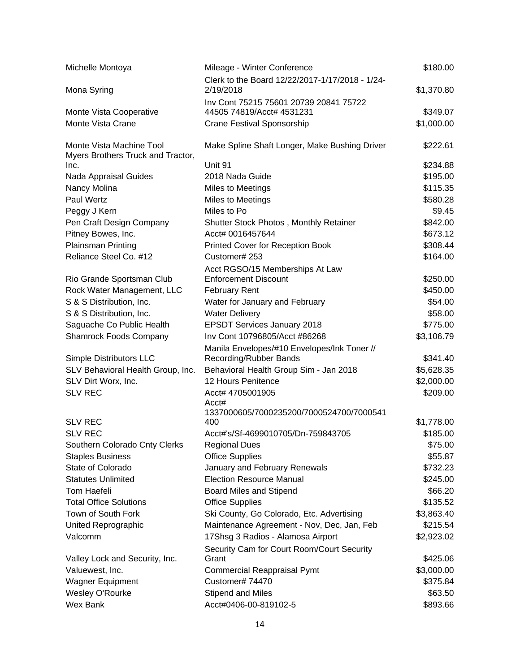| Michelle Montoya                  | Mileage - Winter Conference                                           | \$180.00   |
|-----------------------------------|-----------------------------------------------------------------------|------------|
|                                   | Clerk to the Board 12/22/2017-1/17/2018 - 1/24-                       |            |
| Mona Syring                       | 2/19/2018                                                             | \$1,370.80 |
|                                   | Inv Cont 75215 75601 20739 20841 75722                                |            |
| Monte Vista Cooperative           | 44505 74819/Acct# 4531231                                             | \$349.07   |
| Monte Vista Crane                 | <b>Crane Festival Sponsorship</b>                                     | \$1,000.00 |
| Monte Vista Machine Tool          | Make Spline Shaft Longer, Make Bushing Driver                         | \$222.61   |
| Myers Brothers Truck and Tractor, |                                                                       |            |
| Inc.                              | Unit 91                                                               | \$234.88   |
| Nada Appraisal Guides             | 2018 Nada Guide                                                       | \$195.00   |
| Nancy Molina                      | <b>Miles to Meetings</b>                                              | \$115.35   |
| Paul Wertz                        | Miles to Meetings                                                     | \$580.28   |
| Peggy J Kern                      | Miles to Po                                                           | \$9.45     |
| Pen Craft Design Company          | Shutter Stock Photos, Monthly Retainer                                | \$842.00   |
| Pitney Bowes, Inc.                | Acct# 0016457644                                                      | \$673.12   |
| <b>Plainsman Printing</b>         | Printed Cover for Reception Book                                      | \$308.44   |
| Reliance Steel Co. #12            | Customer# 253                                                         | \$164.00   |
|                                   | Acct RGSO/15 Memberships At Law                                       |            |
| Rio Grande Sportsman Club         | <b>Enforcement Discount</b>                                           | \$250.00   |
| Rock Water Management, LLC        | <b>February Rent</b>                                                  | \$450.00   |
| S & S Distribution, Inc.          | Water for January and February                                        | \$54.00    |
| S & S Distribution, Inc.          | <b>Water Delivery</b>                                                 | \$58.00    |
| Saguache Co Public Health         | <b>EPSDT Services January 2018</b>                                    | \$775.00   |
| <b>Shamrock Foods Company</b>     | Inv Cont 10796805/Acct #86268                                         | \$3,106.79 |
| Simple Distributors LLC           | Manila Envelopes/#10 Envelopes/Ink Toner //<br>Recording/Rubber Bands | \$341.40   |
| SLV Behavioral Health Group, Inc. |                                                                       | \$5,628.35 |
| SLV Dirt Worx, Inc.               | Behavioral Health Group Sim - Jan 2018<br>12 Hours Penitence          | \$2,000.00 |
| <b>SLV REC</b>                    | Acct# 4705001905                                                      | \$209.00   |
|                                   | Acct#                                                                 |            |
|                                   | 1337000605/7000235200/7000524700/7000541                              |            |
| <b>SLV REC</b>                    | 400                                                                   | \$1,778.00 |
| <b>SLV REC</b>                    | Acct#'s/Sf-4699010705/Dn-759843705                                    | \$185.00   |
| Southern Colorado Cnty Clerks     | <b>Regional Dues</b>                                                  | \$75.00    |
| <b>Staples Business</b>           | <b>Office Supplies</b>                                                | \$55.87    |
| State of Colorado                 | January and February Renewals                                         | \$732.23   |
| <b>Statutes Unlimited</b>         | <b>Election Resource Manual</b>                                       | \$245.00   |
| <b>Tom Haefeli</b>                | Board Miles and Stipend                                               | \$66.20    |
| <b>Total Office Solutions</b>     | <b>Office Supplies</b>                                                | \$135.52   |
| Town of South Fork                | Ski County, Go Colorado, Etc. Advertising                             | \$3,863.40 |
| United Reprographic               | Maintenance Agreement - Nov, Dec, Jan, Feb                            | \$215.54   |
| Valcomm                           | 17Shsg 3 Radios - Alamosa Airport                                     | \$2,923.02 |
|                                   | Security Cam for Court Room/Court Security                            |            |
| Valley Lock and Security, Inc.    | Grant                                                                 | \$425.06   |
| Valuewest, Inc.                   | <b>Commercial Reappraisal Pymt</b>                                    | \$3,000.00 |
| <b>Wagner Equipment</b>           | Customer# 74470                                                       | \$375.84   |
| Wesley O'Rourke                   | Stipend and Miles                                                     | \$63.50    |
| <b>Wex Bank</b>                   | Acct#0406-00-819102-5                                                 | \$893.66   |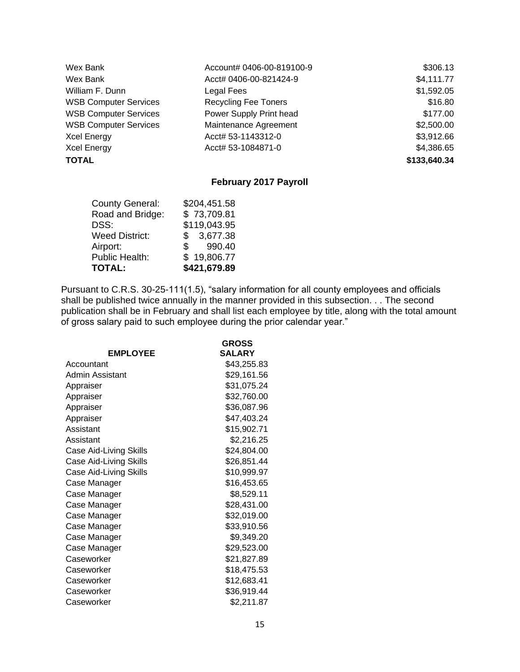| Wex Bank                     | Account# 0406-00-819100-9   | \$306.13     |
|------------------------------|-----------------------------|--------------|
| Wex Bank                     | Acct# 0406-00-821424-9      | \$4,111.77   |
| William F. Dunn              | Legal Fees                  | \$1,592.05   |
| <b>WSB Computer Services</b> | <b>Recycling Fee Toners</b> | \$16.80      |
| <b>WSB Computer Services</b> | Power Supply Print head     | \$177.00     |
| <b>WSB Computer Services</b> | Maintenance Agreement       | \$2,500.00   |
| <b>Xcel Energy</b>           | Acct# 53-1143312-0          | \$3,912.66   |
| <b>Xcel Energy</b>           | Acct# 53-1084871-0          | \$4,386.65   |
| <b>TOTAL</b>                 |                             | \$133,640.34 |

## **February 2017 Payroll**

| <b>County General:</b> | \$204,451.58 |
|------------------------|--------------|
| Road and Bridge:       | \$73,709.81  |
| DSS:                   | \$119,043.95 |
| <b>Weed District:</b>  | \$3,677.38   |
| Airport:               | 990.40<br>S. |
| <b>Public Health:</b>  | \$19,806.77  |
| <b>TOTAL:</b>          | \$421,679.89 |

Pursuant to C.R.S. 30-25-111(1.5), "salary information for all county employees and officials shall be published twice annually in the manner provided in this subsection. . . The second publication shall be in February and shall list each employee by title, along with the total amount of gross salary paid to such employee during the prior calendar year."

| <b>EMPLOYEE</b>        | <b>GROSS</b><br><b>SALARY</b> |
|------------------------|-------------------------------|
| Accountant             | \$43,255.83                   |
| Admin Assistant        | \$29,161.56                   |
| Appraiser              | \$31,075.24                   |
| Appraiser              | \$32,760.00                   |
| Appraiser              | \$36,087.96                   |
| Appraiser              | \$47,403.24                   |
| Assistant              | \$15,902.71                   |
| Assistant              | \$2,216.25                    |
| Case Aid-Living Skills | \$24,804.00                   |
| Case Aid-Living Skills | \$26,851.44                   |
| Case Aid-Living Skills | \$10,999.97                   |
| Case Manager           | \$16,453.65                   |
| Case Manager           | \$8,529.11                    |
| Case Manager           | \$28,431.00                   |
| Case Manager           | \$32,019.00                   |
| Case Manager           | \$33,910.56                   |
| Case Manager           | \$9,349.20                    |
| Case Manager           | \$29,523.00                   |
| Caseworker             | \$21,827.89                   |
| Caseworker             | \$18,475.53                   |
| Caseworker             | \$12,683.41                   |
| Caseworker             | \$36,919.44                   |
| Caseworker             | \$2,211.87                    |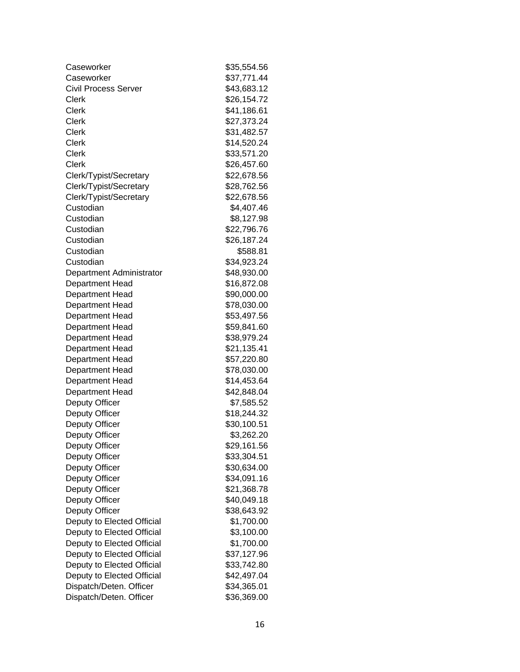| Caseworker                  | \$35,554.56 |
|-----------------------------|-------------|
| Caseworker                  | \$37,771.44 |
| <b>Civil Process Server</b> | \$43,683.12 |
| <b>Clerk</b>                | \$26,154.72 |
| <b>Clerk</b>                | \$41,186.61 |
| Clerk                       | \$27,373.24 |
| <b>Clerk</b>                | \$31,482.57 |
| <b>Clerk</b>                | \$14,520.24 |
| <b>Clerk</b>                | \$33,571.20 |
| Clerk                       | \$26,457.60 |
| Clerk/Typist/Secretary      | \$22,678.56 |
| Clerk/Typist/Secretary      | \$28,762.56 |
| Clerk/Typist/Secretary      | \$22,678.56 |
| Custodian                   | \$4,407.46  |
| Custodian                   | \$8,127.98  |
| Custodian                   | \$22,796.76 |
| Custodian                   | \$26,187.24 |
| Custodian                   | \$588.81    |
| Custodian                   | \$34,923.24 |
| Department Administrator    | \$48,930.00 |
| Department Head             | \$16,872.08 |
| Department Head             | \$90,000.00 |
| Department Head             | \$78,030.00 |
| Department Head             | \$53,497.56 |
| Department Head             | \$59,841.60 |
| Department Head             | \$38,979.24 |
| Department Head             | \$21,135.41 |
| Department Head             | \$57,220.80 |
| Department Head             | \$78,030.00 |
| Department Head             | \$14,453.64 |
| Department Head             | \$42,848.04 |
| <b>Deputy Officer</b>       | \$7,585.52  |
| <b>Deputy Officer</b>       | \$18,244.32 |
| <b>Deputy Officer</b>       | \$30,100.51 |
| <b>Deputy Officer</b>       | \$3,262.20  |
| Deputy Officer              | \$29,161.56 |
| Deputy Officer              | \$33,304.51 |
| Deputy Officer              | \$30,634.00 |
| Deputy Officer              | \$34,091.16 |
| Deputy Officer              | \$21,368.78 |
| <b>Deputy Officer</b>       | \$40,049.18 |
| <b>Deputy Officer</b>       | \$38,643.92 |
| Deputy to Elected Official  | \$1,700.00  |
| Deputy to Elected Official  | \$3,100.00  |
| Deputy to Elected Official  | \$1,700.00  |
| Deputy to Elected Official  | \$37,127.96 |
| Deputy to Elected Official  | \$33,742.80 |
| Deputy to Elected Official  | \$42,497.04 |
| Dispatch/Deten. Officer     | \$34,365.01 |
| Dispatch/Deten. Officer     | \$36,369.00 |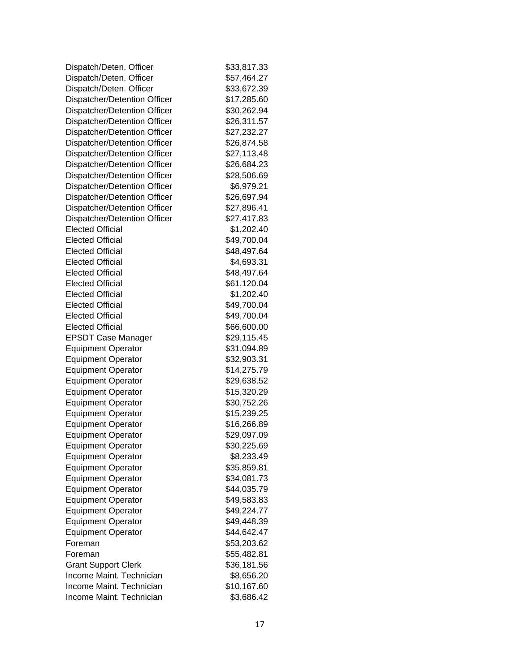| Dispatch/Deten. Officer      | \$33,817.33 |
|------------------------------|-------------|
| Dispatch/Deten. Officer      | \$57,464.27 |
| Dispatch/Deten. Officer      | \$33,672.39 |
| Dispatcher/Detention Officer | \$17,285.60 |
| Dispatcher/Detention Officer | \$30,262.94 |
| Dispatcher/Detention Officer | \$26,311.57 |
| Dispatcher/Detention Officer | \$27,232.27 |
| Dispatcher/Detention Officer | \$26,874.58 |
| Dispatcher/Detention Officer | \$27,113.48 |
| Dispatcher/Detention Officer | \$26,684.23 |
| Dispatcher/Detention Officer | \$28,506.69 |
| Dispatcher/Detention Officer | \$6,979.21  |
| Dispatcher/Detention Officer | \$26,697.94 |
| Dispatcher/Detention Officer | \$27,896.41 |
| Dispatcher/Detention Officer | \$27,417.83 |
| <b>Elected Official</b>      | \$1,202.40  |
| <b>Elected Official</b>      | \$49,700.04 |
| <b>Elected Official</b>      | \$48,497.64 |
| <b>Elected Official</b>      | \$4,693.31  |
| <b>Elected Official</b>      | \$48,497.64 |
| <b>Elected Official</b>      | \$61,120.04 |
| <b>Elected Official</b>      | \$1,202.40  |
| <b>Elected Official</b>      | \$49,700.04 |
| <b>Elected Official</b>      | \$49,700.04 |
| <b>Elected Official</b>      | \$66,600.00 |
| <b>EPSDT Case Manager</b>    | \$29,115.45 |
| <b>Equipment Operator</b>    | \$31,094.89 |
| <b>Equipment Operator</b>    | \$32,903.31 |
| <b>Equipment Operator</b>    | \$14,275.79 |
| <b>Equipment Operator</b>    | \$29,638.52 |
| <b>Equipment Operator</b>    | \$15,320.29 |
| <b>Equipment Operator</b>    | \$30,752.26 |
| <b>Equipment Operator</b>    | \$15,239.25 |
| <b>Equipment Operator</b>    | \$16,266.89 |
| <b>Equipment Operator</b>    | \$29,097.09 |
| <b>Equipment Operator</b>    | \$30,225.69 |
| <b>Equipment Operator</b>    | \$8,233.49  |
| <b>Equipment Operator</b>    | \$35,859.81 |
| <b>Equipment Operator</b>    | \$34,081.73 |
| <b>Equipment Operator</b>    | \$44,035.79 |
| <b>Equipment Operator</b>    | \$49,583.83 |
| <b>Equipment Operator</b>    | \$49,224.77 |
| <b>Equipment Operator</b>    | \$49,448.39 |
| <b>Equipment Operator</b>    | \$44,642.47 |
| Foreman                      | \$53,203.62 |
| Foreman                      | \$55,482.81 |
| <b>Grant Support Clerk</b>   | \$36,181.56 |
| Income Maint. Technician     | \$8,656.20  |
| Income Maint. Technician     | \$10,167.60 |
| Income Maint. Technician     | \$3,686.42  |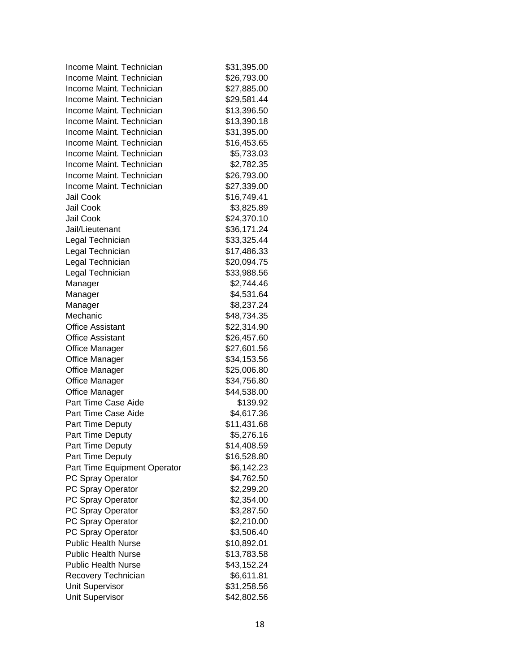| Income Maint. Technician     | \$31,395.00 |
|------------------------------|-------------|
| Income Maint. Technician     | \$26,793.00 |
| Income Maint. Technician     | \$27,885.00 |
| Income Maint. Technician     | \$29,581.44 |
| Income Maint. Technician     | \$13,396.50 |
| Income Maint. Technician     | \$13,390.18 |
| Income Maint. Technician     | \$31,395.00 |
| Income Maint. Technician     | \$16,453.65 |
| Income Maint, Technician     | \$5,733.03  |
| Income Maint. Technician     | \$2,782.35  |
| Income Maint. Technician     | \$26,793.00 |
| Income Maint. Technician     | \$27,339.00 |
| Jail Cook                    | \$16,749.41 |
| Jail Cook                    | \$3,825.89  |
| Jail Cook                    | \$24,370.10 |
| Jail/Lieutenant              | \$36,171.24 |
| Legal Technician             | \$33,325.44 |
| Legal Technician             | \$17,486.33 |
| Legal Technician             | \$20,094.75 |
| Legal Technician             | \$33,988.56 |
| Manager                      | \$2,744.46  |
| Manager                      | \$4,531.64  |
| Manager                      | \$8,237.24  |
| Mechanic                     | \$48,734.35 |
| <b>Office Assistant</b>      | \$22,314.90 |
| <b>Office Assistant</b>      | \$26,457.60 |
| <b>Office Manager</b>        | \$27,601.56 |
| <b>Office Manager</b>        | \$34,153.56 |
| <b>Office Manager</b>        | \$25,006.80 |
| <b>Office Manager</b>        | \$34,756.80 |
| <b>Office Manager</b>        | \$44,538.00 |
| Part Time Case Aide          | \$139.92    |
| Part Time Case Aide          | \$4,617.36  |
| Part Time Deputy             | \$11,431.68 |
| Part Time Deputy             | \$5,276.16  |
| Part Time Deputy             | \$14,408.59 |
| Part Time Deputy             | \$16,528.80 |
| Part Time Equipment Operator | \$6,142.23  |
| PC Spray Operator            | \$4,762.50  |
| PC Spray Operator            | \$2,299.20  |
| PC Spray Operator            | \$2,354.00  |
| PC Spray Operator            | \$3,287.50  |
| PC Spray Operator            | \$2,210.00  |
| PC Spray Operator            | \$3,506.40  |
| <b>Public Health Nurse</b>   | \$10,892.01 |
| <b>Public Health Nurse</b>   | \$13,783.58 |
| <b>Public Health Nurse</b>   | \$43,152.24 |
| Recovery Technician          | \$6,611.81  |
| Unit Supervisor              | \$31,258.56 |
| <b>Unit Supervisor</b>       | \$42,802.56 |
|                              |             |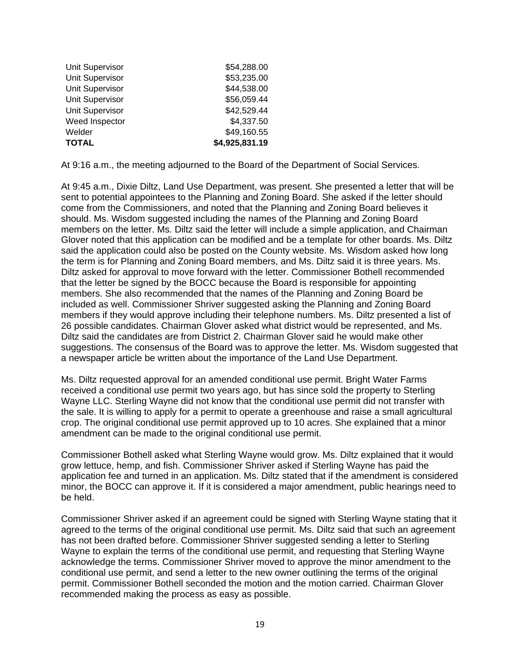| <b>TOTAL</b>           | \$4,925,831.19 |
|------------------------|----------------|
| Welder                 | \$49,160.55    |
| Weed Inspector         | \$4,337.50     |
| <b>Unit Supervisor</b> | \$42,529.44    |
| <b>Unit Supervisor</b> | \$56,059.44    |
| <b>Unit Supervisor</b> | \$44,538.00    |
| <b>Unit Supervisor</b> | \$53,235.00    |
| <b>Unit Supervisor</b> | \$54,288.00    |

At 9:16 a.m., the meeting adjourned to the Board of the Department of Social Services.

At 9:45 a.m., Dixie Diltz, Land Use Department, was present. She presented a letter that will be sent to potential appointees to the Planning and Zoning Board. She asked if the letter should come from the Commissioners, and noted that the Planning and Zoning Board believes it should. Ms. Wisdom suggested including the names of the Planning and Zoning Board members on the letter. Ms. Diltz said the letter will include a simple application, and Chairman Glover noted that this application can be modified and be a template for other boards. Ms. Diltz said the application could also be posted on the County website. Ms. Wisdom asked how long the term is for Planning and Zoning Board members, and Ms. Diltz said it is three years. Ms. Diltz asked for approval to move forward with the letter. Commissioner Bothell recommended that the letter be signed by the BOCC because the Board is responsible for appointing members. She also recommended that the names of the Planning and Zoning Board be included as well. Commissioner Shriver suggested asking the Planning and Zoning Board members if they would approve including their telephone numbers. Ms. Diltz presented a list of 26 possible candidates. Chairman Glover asked what district would be represented, and Ms. Diltz said the candidates are from District 2. Chairman Glover said he would make other suggestions. The consensus of the Board was to approve the letter. Ms. Wisdom suggested that a newspaper article be written about the importance of the Land Use Department.

Ms. Diltz requested approval for an amended conditional use permit. Bright Water Farms received a conditional use permit two years ago, but has since sold the property to Sterling Wayne LLC. Sterling Wayne did not know that the conditional use permit did not transfer with the sale. It is willing to apply for a permit to operate a greenhouse and raise a small agricultural crop. The original conditional use permit approved up to 10 acres. She explained that a minor amendment can be made to the original conditional use permit.

Commissioner Bothell asked what Sterling Wayne would grow. Ms. Diltz explained that it would grow lettuce, hemp, and fish. Commissioner Shriver asked if Sterling Wayne has paid the application fee and turned in an application. Ms. Diltz stated that if the amendment is considered minor, the BOCC can approve it. If it is considered a major amendment, public hearings need to be held.

Commissioner Shriver asked if an agreement could be signed with Sterling Wayne stating that it agreed to the terms of the original conditional use permit. Ms. Diltz said that such an agreement has not been drafted before. Commissioner Shriver suggested sending a letter to Sterling Wayne to explain the terms of the conditional use permit, and requesting that Sterling Wayne acknowledge the terms. Commissioner Shriver moved to approve the minor amendment to the conditional use permit, and send a letter to the new owner outlining the terms of the original permit. Commissioner Bothell seconded the motion and the motion carried. Chairman Glover recommended making the process as easy as possible.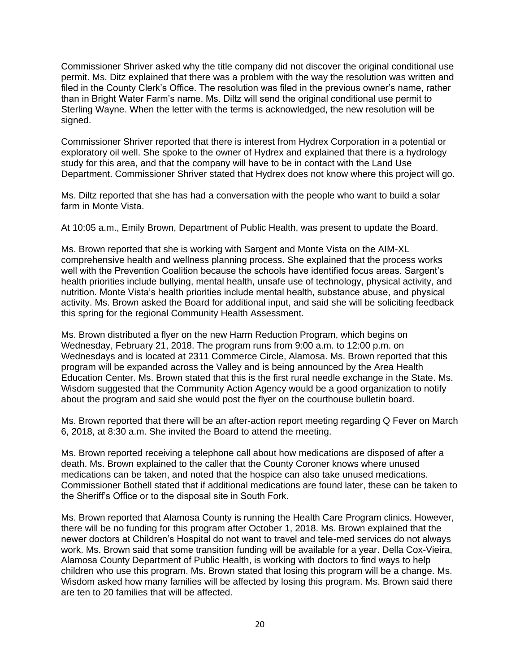Commissioner Shriver asked why the title company did not discover the original conditional use permit. Ms. Ditz explained that there was a problem with the way the resolution was written and filed in the County Clerk's Office. The resolution was filed in the previous owner's name, rather than in Bright Water Farm's name. Ms. Diltz will send the original conditional use permit to Sterling Wayne. When the letter with the terms is acknowledged, the new resolution will be signed.

Commissioner Shriver reported that there is interest from Hydrex Corporation in a potential or exploratory oil well. She spoke to the owner of Hydrex and explained that there is a hydrology study for this area, and that the company will have to be in contact with the Land Use Department. Commissioner Shriver stated that Hydrex does not know where this project will go.

Ms. Diltz reported that she has had a conversation with the people who want to build a solar farm in Monte Vista.

At 10:05 a.m., Emily Brown, Department of Public Health, was present to update the Board.

Ms. Brown reported that she is working with Sargent and Monte Vista on the AIM-XL comprehensive health and wellness planning process. She explained that the process works well with the Prevention Coalition because the schools have identified focus areas. Sargent's health priorities include bullying, mental health, unsafe use of technology, physical activity, and nutrition. Monte Vista's health priorities include mental health, substance abuse, and physical activity. Ms. Brown asked the Board for additional input, and said she will be soliciting feedback this spring for the regional Community Health Assessment.

Ms. Brown distributed a flyer on the new Harm Reduction Program, which begins on Wednesday, February 21, 2018. The program runs from 9:00 a.m. to 12:00 p.m. on Wednesdays and is located at 2311 Commerce Circle, Alamosa. Ms. Brown reported that this program will be expanded across the Valley and is being announced by the Area Health Education Center. Ms. Brown stated that this is the first rural needle exchange in the State. Ms. Wisdom suggested that the Community Action Agency would be a good organization to notify about the program and said she would post the flyer on the courthouse bulletin board.

Ms. Brown reported that there will be an after-action report meeting regarding Q Fever on March 6, 2018, at 8:30 a.m. She invited the Board to attend the meeting.

Ms. Brown reported receiving a telephone call about how medications are disposed of after a death. Ms. Brown explained to the caller that the County Coroner knows where unused medications can be taken, and noted that the hospice can also take unused medications. Commissioner Bothell stated that if additional medications are found later, these can be taken to the Sheriff's Office or to the disposal site in South Fork.

Ms. Brown reported that Alamosa County is running the Health Care Program clinics. However, there will be no funding for this program after October 1, 2018. Ms. Brown explained that the newer doctors at Children's Hospital do not want to travel and tele-med services do not always work. Ms. Brown said that some transition funding will be available for a year. Della Cox-Vieira, Alamosa County Department of Public Health, is working with doctors to find ways to help children who use this program. Ms. Brown stated that losing this program will be a change. Ms. Wisdom asked how many families will be affected by losing this program. Ms. Brown said there are ten to 20 families that will be affected.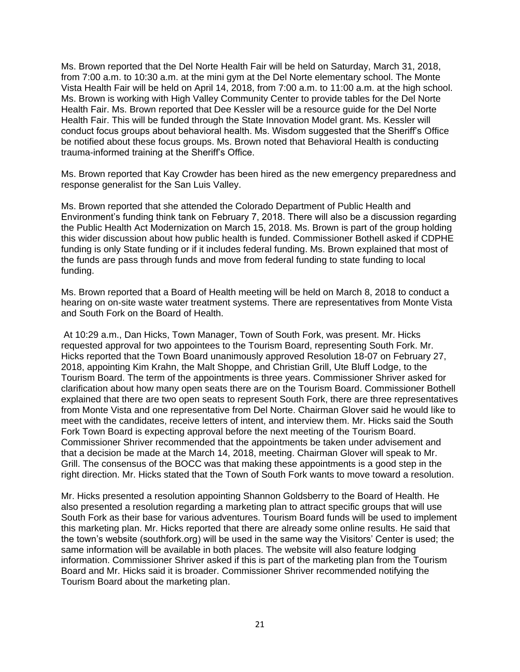Ms. Brown reported that the Del Norte Health Fair will be held on Saturday, March 31, 2018, from 7:00 a.m. to 10:30 a.m. at the mini gym at the Del Norte elementary school. The Monte Vista Health Fair will be held on April 14, 2018, from 7:00 a.m. to 11:00 a.m. at the high school. Ms. Brown is working with High Valley Community Center to provide tables for the Del Norte Health Fair. Ms. Brown reported that Dee Kessler will be a resource guide for the Del Norte Health Fair. This will be funded through the State Innovation Model grant. Ms. Kessler will conduct focus groups about behavioral health. Ms. Wisdom suggested that the Sheriff's Office be notified about these focus groups. Ms. Brown noted that Behavioral Health is conducting trauma-informed training at the Sheriff's Office.

Ms. Brown reported that Kay Crowder has been hired as the new emergency preparedness and response generalist for the San Luis Valley.

Ms. Brown reported that she attended the Colorado Department of Public Health and Environment's funding think tank on February 7, 2018. There will also be a discussion regarding the Public Health Act Modernization on March 15, 2018. Ms. Brown is part of the group holding this wider discussion about how public health is funded. Commissioner Bothell asked if CDPHE funding is only State funding or if it includes federal funding. Ms. Brown explained that most of the funds are pass through funds and move from federal funding to state funding to local funding.

Ms. Brown reported that a Board of Health meeting will be held on March 8, 2018 to conduct a hearing on on-site waste water treatment systems. There are representatives from Monte Vista and South Fork on the Board of Health.

At 10:29 a.m., Dan Hicks, Town Manager, Town of South Fork, was present. Mr. Hicks requested approval for two appointees to the Tourism Board, representing South Fork. Mr. Hicks reported that the Town Board unanimously approved Resolution 18-07 on February 27, 2018, appointing Kim Krahn, the Malt Shoppe, and Christian Grill, Ute Bluff Lodge, to the Tourism Board. The term of the appointments is three years. Commissioner Shriver asked for clarification about how many open seats there are on the Tourism Board. Commissioner Bothell explained that there are two open seats to represent South Fork, there are three representatives from Monte Vista and one representative from Del Norte. Chairman Glover said he would like to meet with the candidates, receive letters of intent, and interview them. Mr. Hicks said the South Fork Town Board is expecting approval before the next meeting of the Tourism Board. Commissioner Shriver recommended that the appointments be taken under advisement and that a decision be made at the March 14, 2018, meeting. Chairman Glover will speak to Mr. Grill. The consensus of the BOCC was that making these appointments is a good step in the right direction. Mr. Hicks stated that the Town of South Fork wants to move toward a resolution.

Mr. Hicks presented a resolution appointing Shannon Goldsberry to the Board of Health. He also presented a resolution regarding a marketing plan to attract specific groups that will use South Fork as their base for various adventures. Tourism Board funds will be used to implement this marketing plan. Mr. Hicks reported that there are already some online results. He said that the town's website (southfork.org) will be used in the same way the Visitors' Center is used; the same information will be available in both places. The website will also feature lodging information. Commissioner Shriver asked if this is part of the marketing plan from the Tourism Board and Mr. Hicks said it is broader. Commissioner Shriver recommended notifying the Tourism Board about the marketing plan.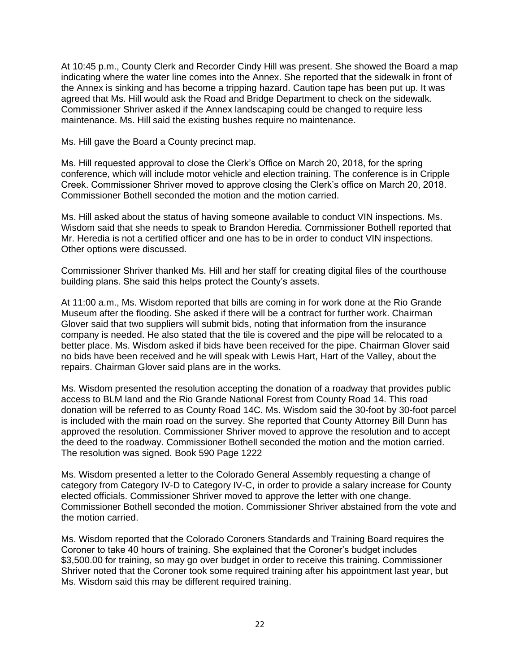At 10:45 p.m., County Clerk and Recorder Cindy Hill was present. She showed the Board a map indicating where the water line comes into the Annex. She reported that the sidewalk in front of the Annex is sinking and has become a tripping hazard. Caution tape has been put up. It was agreed that Ms. Hill would ask the Road and Bridge Department to check on the sidewalk. Commissioner Shriver asked if the Annex landscaping could be changed to require less maintenance. Ms. Hill said the existing bushes require no maintenance.

Ms. Hill gave the Board a County precinct map.

Ms. Hill requested approval to close the Clerk's Office on March 20, 2018, for the spring conference, which will include motor vehicle and election training. The conference is in Cripple Creek. Commissioner Shriver moved to approve closing the Clerk's office on March 20, 2018. Commissioner Bothell seconded the motion and the motion carried.

Ms. Hill asked about the status of having someone available to conduct VIN inspections. Ms. Wisdom said that she needs to speak to Brandon Heredia. Commissioner Bothell reported that Mr. Heredia is not a certified officer and one has to be in order to conduct VIN inspections. Other options were discussed.

Commissioner Shriver thanked Ms. Hill and her staff for creating digital files of the courthouse building plans. She said this helps protect the County's assets.

At 11:00 a.m., Ms. Wisdom reported that bills are coming in for work done at the Rio Grande Museum after the flooding. She asked if there will be a contract for further work. Chairman Glover said that two suppliers will submit bids, noting that information from the insurance company is needed. He also stated that the tile is covered and the pipe will be relocated to a better place. Ms. Wisdom asked if bids have been received for the pipe. Chairman Glover said no bids have been received and he will speak with Lewis Hart, Hart of the Valley, about the repairs. Chairman Glover said plans are in the works.

Ms. Wisdom presented the resolution accepting the donation of a roadway that provides public access to BLM land and the Rio Grande National Forest from County Road 14. This road donation will be referred to as County Road 14C. Ms. Wisdom said the 30-foot by 30-foot parcel is included with the main road on the survey. She reported that County Attorney Bill Dunn has approved the resolution. Commissioner Shriver moved to approve the resolution and to accept the deed to the roadway. Commissioner Bothell seconded the motion and the motion carried. The resolution was signed. Book 590 Page 1222

Ms. Wisdom presented a letter to the Colorado General Assembly requesting a change of category from Category IV-D to Category IV-C, in order to provide a salary increase for County elected officials. Commissioner Shriver moved to approve the letter with one change. Commissioner Bothell seconded the motion. Commissioner Shriver abstained from the vote and the motion carried.

Ms. Wisdom reported that the Colorado Coroners Standards and Training Board requires the Coroner to take 40 hours of training. She explained that the Coroner's budget includes \$3,500.00 for training, so may go over budget in order to receive this training. Commissioner Shriver noted that the Coroner took some required training after his appointment last year, but Ms. Wisdom said this may be different required training.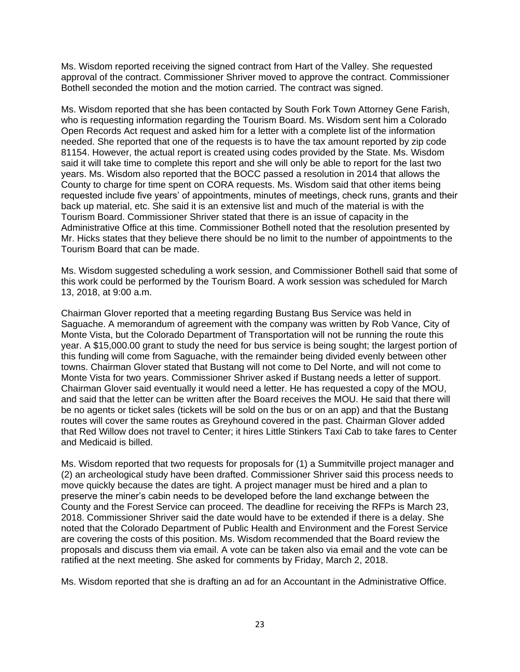Ms. Wisdom reported receiving the signed contract from Hart of the Valley. She requested approval of the contract. Commissioner Shriver moved to approve the contract. Commissioner Bothell seconded the motion and the motion carried. The contract was signed.

Ms. Wisdom reported that she has been contacted by South Fork Town Attorney Gene Farish, who is requesting information regarding the Tourism Board. Ms. Wisdom sent him a Colorado Open Records Act request and asked him for a letter with a complete list of the information needed. She reported that one of the requests is to have the tax amount reported by zip code 81154. However, the actual report is created using codes provided by the State. Ms. Wisdom said it will take time to complete this report and she will only be able to report for the last two years. Ms. Wisdom also reported that the BOCC passed a resolution in 2014 that allows the County to charge for time spent on CORA requests. Ms. Wisdom said that other items being requested include five years' of appointments, minutes of meetings, check runs, grants and their back up material, etc. She said it is an extensive list and much of the material is with the Tourism Board. Commissioner Shriver stated that there is an issue of capacity in the Administrative Office at this time. Commissioner Bothell noted that the resolution presented by Mr. Hicks states that they believe there should be no limit to the number of appointments to the Tourism Board that can be made.

Ms. Wisdom suggested scheduling a work session, and Commissioner Bothell said that some of this work could be performed by the Tourism Board. A work session was scheduled for March 13, 2018, at 9:00 a.m.

Chairman Glover reported that a meeting regarding Bustang Bus Service was held in Saguache. A memorandum of agreement with the company was written by Rob Vance, City of Monte Vista, but the Colorado Department of Transportation will not be running the route this year. A \$15,000.00 grant to study the need for bus service is being sought; the largest portion of this funding will come from Saguache, with the remainder being divided evenly between other towns. Chairman Glover stated that Bustang will not come to Del Norte, and will not come to Monte Vista for two years. Commissioner Shriver asked if Bustang needs a letter of support. Chairman Glover said eventually it would need a letter. He has requested a copy of the MOU, and said that the letter can be written after the Board receives the MOU. He said that there will be no agents or ticket sales (tickets will be sold on the bus or on an app) and that the Bustang routes will cover the same routes as Greyhound covered in the past. Chairman Glover added that Red Willow does not travel to Center; it hires Little Stinkers Taxi Cab to take fares to Center and Medicaid is billed.

Ms. Wisdom reported that two requests for proposals for (1) a Summitville project manager and (2) an archeological study have been drafted. Commissioner Shriver said this process needs to move quickly because the dates are tight. A project manager must be hired and a plan to preserve the miner's cabin needs to be developed before the land exchange between the County and the Forest Service can proceed. The deadline for receiving the RFPs is March 23, 2018. Commissioner Shriver said the date would have to be extended if there is a delay. She noted that the Colorado Department of Public Health and Environment and the Forest Service are covering the costs of this position. Ms. Wisdom recommended that the Board review the proposals and discuss them via email. A vote can be taken also via email and the vote can be ratified at the next meeting. She asked for comments by Friday, March 2, 2018.

Ms. Wisdom reported that she is drafting an ad for an Accountant in the Administrative Office.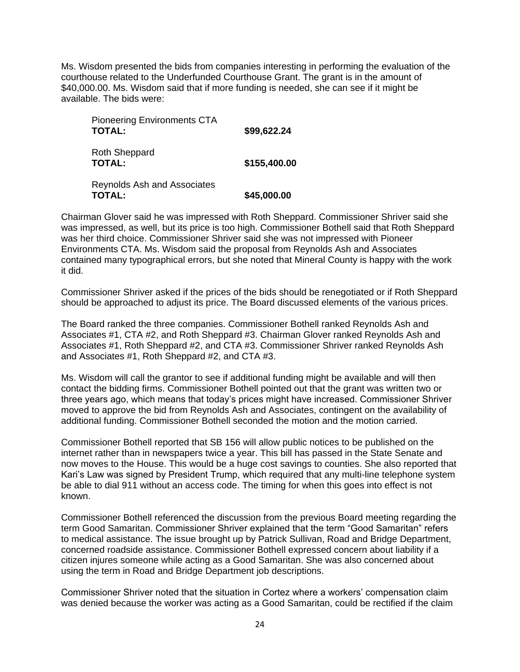Ms. Wisdom presented the bids from companies interesting in performing the evaluation of the courthouse related to the Underfunded Courthouse Grant. The grant is in the amount of \$40,000.00. Ms. Wisdom said that if more funding is needed, she can see if it might be available. The bids were:

| <b>Pioneering Environments CTA</b><br><b>TOTAL:</b> | \$99,622.24  |
|-----------------------------------------------------|--------------|
| Roth Sheppard<br><b>TOTAL:</b>                      | \$155,400.00 |
| <b>Reynolds Ash and Associates</b><br><b>TOTAL:</b> | \$45,000.00  |

Chairman Glover said he was impressed with Roth Sheppard. Commissioner Shriver said she was impressed, as well, but its price is too high. Commissioner Bothell said that Roth Sheppard was her third choice. Commissioner Shriver said she was not impressed with Pioneer Environments CTA. Ms. Wisdom said the proposal from Reynolds Ash and Associates contained many typographical errors, but she noted that Mineral County is happy with the work it did.

Commissioner Shriver asked if the prices of the bids should be renegotiated or if Roth Sheppard should be approached to adjust its price. The Board discussed elements of the various prices.

The Board ranked the three companies. Commissioner Bothell ranked Reynolds Ash and Associates #1, CTA #2, and Roth Sheppard #3. Chairman Glover ranked Reynolds Ash and Associates #1, Roth Sheppard #2, and CTA #3. Commissioner Shriver ranked Reynolds Ash and Associates #1, Roth Sheppard #2, and CTA #3.

Ms. Wisdom will call the grantor to see if additional funding might be available and will then contact the bidding firms. Commissioner Bothell pointed out that the grant was written two or three years ago, which means that today's prices might have increased. Commissioner Shriver moved to approve the bid from Reynolds Ash and Associates, contingent on the availability of additional funding. Commissioner Bothell seconded the motion and the motion carried.

Commissioner Bothell reported that SB 156 will allow public notices to be published on the internet rather than in newspapers twice a year. This bill has passed in the State Senate and now moves to the House. This would be a huge cost savings to counties. She also reported that Kari's Law was signed by President Trump, which required that any multi-line telephone system be able to dial 911 without an access code. The timing for when this goes into effect is not known.

Commissioner Bothell referenced the discussion from the previous Board meeting regarding the term Good Samaritan. Commissioner Shriver explained that the term "Good Samaritan" refers to medical assistance. The issue brought up by Patrick Sullivan, Road and Bridge Department, concerned roadside assistance. Commissioner Bothell expressed concern about liability if a citizen injures someone while acting as a Good Samaritan. She was also concerned about using the term in Road and Bridge Department job descriptions.

Commissioner Shriver noted that the situation in Cortez where a workers' compensation claim was denied because the worker was acting as a Good Samaritan, could be rectified if the claim